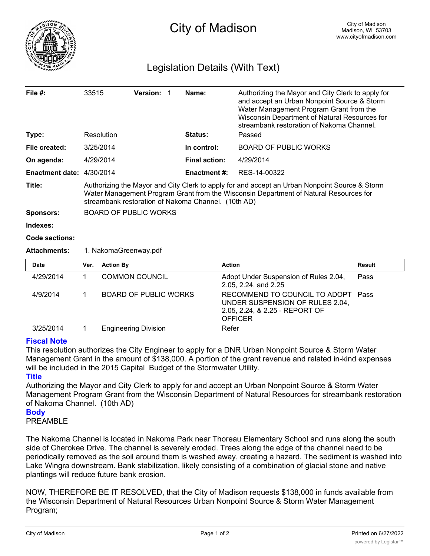

## Legislation Details (With Text)

| File $#$ :                | 33515                                                                                                                                                                                                                                         |                              | Version: 1 |  | Name:                | Authorizing the Mayor and City Clerk to apply for<br>and accept an Urban Nonpoint Source & Storm<br>Water Management Program Grant from the<br>Wisconsin Department of Natural Resources for<br>streambank restoration of Nakoma Channel. |
|---------------------------|-----------------------------------------------------------------------------------------------------------------------------------------------------------------------------------------------------------------------------------------------|------------------------------|------------|--|----------------------|-------------------------------------------------------------------------------------------------------------------------------------------------------------------------------------------------------------------------------------------|
| Type:                     |                                                                                                                                                                                                                                               | Resolution                   |            |  | Status:              | Passed                                                                                                                                                                                                                                    |
| File created:             |                                                                                                                                                                                                                                               | 3/25/2014                    |            |  | In control:          | <b>BOARD OF PUBLIC WORKS</b>                                                                                                                                                                                                              |
| On agenda:                |                                                                                                                                                                                                                                               | 4/29/2014                    |            |  | <b>Final action:</b> | 4/29/2014                                                                                                                                                                                                                                 |
| Enactment date: 4/30/2014 |                                                                                                                                                                                                                                               |                              |            |  | <b>Enactment #:</b>  | RES-14-00322                                                                                                                                                                                                                              |
| Title:                    | Authorizing the Mayor and City Clerk to apply for and accept an Urban Nonpoint Source & Storm<br>Water Management Program Grant from the Wisconsin Department of Natural Resources for<br>streambank restoration of Nakoma Channel. (10th AD) |                              |            |  |                      |                                                                                                                                                                                                                                           |
| <b>Sponsors:</b>          | <b>BOARD OF PUBLIC WORKS</b>                                                                                                                                                                                                                  |                              |            |  |                      |                                                                                                                                                                                                                                           |
| Indexes:                  |                                                                                                                                                                                                                                               |                              |            |  |                      |                                                                                                                                                                                                                                           |
| <b>Code sections:</b>     |                                                                                                                                                                                                                                               |                              |            |  |                      |                                                                                                                                                                                                                                           |
| <b>Attachments:</b>       | 1. NakomaGreenway.pdf                                                                                                                                                                                                                         |                              |            |  |                      |                                                                                                                                                                                                                                           |
| <b>Date</b>               | Ver.                                                                                                                                                                                                                                          | <b>Action By</b>             |            |  |                      | <b>Action</b><br>Result                                                                                                                                                                                                                   |
| 4/29/2014                 | 1                                                                                                                                                                                                                                             | <b>COMMON COUNCIL</b>        |            |  |                      | Adopt Under Suspension of Rules 2.04,<br>Pass<br>2.05, 2.24, and 2.25                                                                                                                                                                     |
| 4/9/2014                  | 1                                                                                                                                                                                                                                             | <b>BOARD OF PUBLIC WORKS</b> |            |  |                      | RECOMMEND TO COUNCIL TO ADOPT<br>Pass<br>UNDER SUSPENSION OF RULES 2.04,<br>2.05, 2.24, & 2.25 - REPORT OF<br><b>OFFICER</b>                                                                                                              |
| 3/25/2014                 | 1                                                                                                                                                                                                                                             | <b>Engineering Division</b>  |            |  |                      | Refer                                                                                                                                                                                                                                     |

## **Fiscal Note**

This resolution authorizes the City Engineer to apply for a DNR Urban Nonpoint Source & Storm Water Management Grant in the amount of \$138,000. A portion of the grant revenue and related in-kind expenses will be included in the 2015 Capital Budget of the Stormwater Utility.

## **Title**

Authorizing the Mayor and City Clerk to apply for and accept an Urban Nonpoint Source & Storm Water Management Program Grant from the Wisconsin Department of Natural Resources for streambank restoration of Nakoma Channel. (10th AD)

## **Body**

PREAMBLE

The Nakoma Channel is located in Nakoma Park near Thoreau Elementary School and runs along the south side of Cherokee Drive. The channel is severely eroded. Trees along the edge of the channel need to be periodically removed as the soil around them is washed away, creating a hazard. The sediment is washed into Lake Wingra downstream. Bank stabilization, likely consisting of a combination of glacial stone and native plantings will reduce future bank erosion.

NOW, THEREFORE BE IT RESOLVED, that the City of Madison requests \$138,000 in funds available from the Wisconsin Department of Natural Resources Urban Nonpoint Source & Storm Water Management Program;